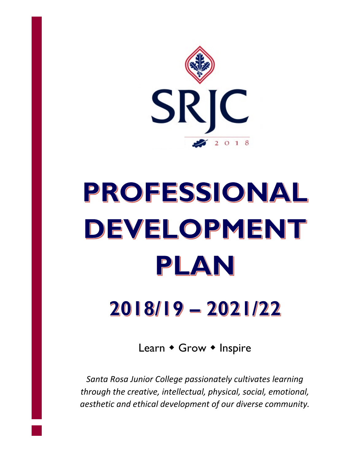

# PROFESSIONAL DEVELOPMENT PLAN

# 2018/19 - 2021/22

Learn  $\bullet$  Grow  $\bullet$  Inspire

*Santa Rosa Junior College passionately cultivates learning through the creative, intellectual, physical, social, emotional, aesthetic and ethical development of our diverse community.*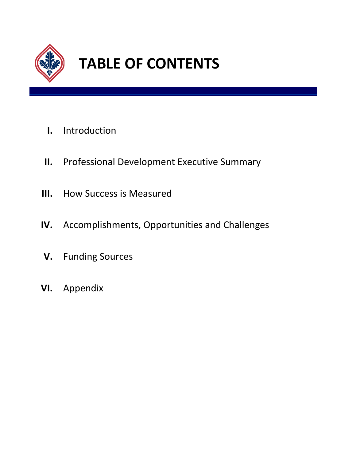

# **TABLE OF CONTENTS**

- **I.** Introduction
- **II.** Professional Development Executive Summary
- **III.** How Success is Measured
- **IV.** Accomplishments, Opportunities and Challenges
- **V.** Funding Sources
- **VI.** Appendix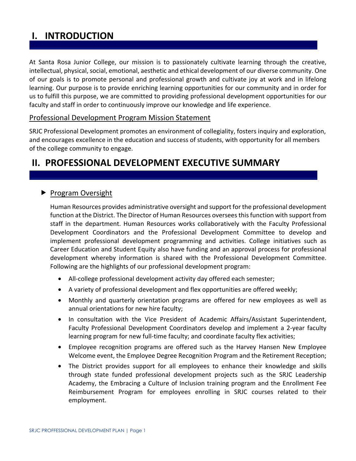# **I. INTRODUCTION**

At Santa Rosa Junior College, our mission is to passionately cultivate learning through the creative, intellectual, physical, social, emotional, aesthetic and ethical development of our diverse community. One of our goals is to promote personal and professional growth and cultivate joy at work and in lifelong learning. Our purpose is to provide enriching learning opportunities for our community and in order for us to fulfill this purpose, we are committed to providing professional development opportunities for our faculty and staff in order to continuously improve our knowledge and life experience.

## Professional Development Program Mission Statement

SRJC Professional Development promotes an environment of collegiality, fosters inquiry and exploration, and encourages excellence in the education and success of students, with opportunity for all members of the college community to engage.

# **II. PROFESSIONAL DEVELOPMENT EXECUTIVE SUMMARY**

# Program Oversight

Human Resources provides administrative oversight and support for the professional development function at the District. The Director of Human Resources oversees this function with support from staff in the department. Human Resources works collaboratively with the Faculty Professional Development Coordinators and the Professional Development Committee to develop and implement professional development programming and activities. College initiatives such as Career Education and Student Equity also have funding and an approval process for professional development whereby information is shared with the Professional Development Committee. Following are the highlights of our professional development program:

- All-college professional development activity day offered each semester;
- A variety of professional development and flex opportunities are offered weekly;
- Monthly and quarterly orientation programs are offered for new employees as well as annual orientations for new hire faculty;
- In consultation with the Vice President of Academic Affairs/Assistant Superintendent, Faculty Professional Development Coordinators develop and implement a 2-year faculty learning program for new full-time faculty; and coordinate faculty flex activities;
- Employee recognition programs are offered such as the Harvey Hansen New Employee Welcome event, the Employee Degree Recognition Program and the Retirement Reception;
- The District provides support for all employees to enhance their knowledge and skills through state funded professional development projects such as the SRJC Leadership Academy, the Embracing a Culture of Inclusion training program and the Enrollment Fee Reimbursement Program for employees enrolling in SRJC courses related to their employment.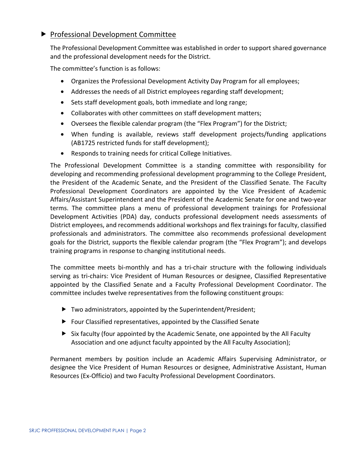# **Professional Development Committee**

The Professional Development Committee was established in order to support shared governance and the professional development needs for the District.

The committee's function is as follows:

- Organizes the Professional Development Activity Day Program for all employees;
- Addresses the needs of all District employees regarding staff development;
- Sets staff development goals, both immediate and long range;
- Collaborates with other committees on staff development matters;
- Oversees the flexible calendar program (the "Flex Program") for the District;
- When funding is available, reviews staff development projects/funding applications (AB1725 restricted funds for staff development);
- Responds to training needs for critical College Initiatives.

The Professional Development Committee is a standing committee with responsibility for developing and recommending professional development programming to the College President, the President of the Academic Senate, and the President of the Classified Senate. The Faculty Professional Development Coordinators are appointed by the Vice President of Academic Affairs/Assistant Superintendent and the President of the Academic Senate for one and two-year terms. The committee plans a menu of professional development trainings for Professional Development Activities (PDA) day, conducts professional development needs assessments of District employees, and recommends additional workshops and flex trainings for faculty, classified professionals and administrators. The committee also recommends professional development goals for the District, supports the flexible calendar program (the "Flex Program"); and develops training programs in response to changing institutional needs.

The committee meets bi-monthly and has a tri-chair structure with the following individuals serving as tri-chairs: Vice President of Human Resources or designee, Classified Representative appointed by the Classified Senate and a Faculty Professional Development Coordinator. The committee includes twelve representatives from the following constituent groups:

- ▶ Two administrators, appointed by the Superintendent/President;
- ▶ Four Classified representatives, appointed by the Classified Senate
- $\triangleright$  Six faculty (four appointed by the Academic Senate, one appointed by the All Faculty Association and one adjunct faculty appointed by the All Faculty Association);

Permanent members by position include an Academic Affairs Supervising Administrator, or designee the Vice President of Human Resources or designee, Administrative Assistant, Human Resources (Ex-Officio) and two Faculty Professional Development Coordinators.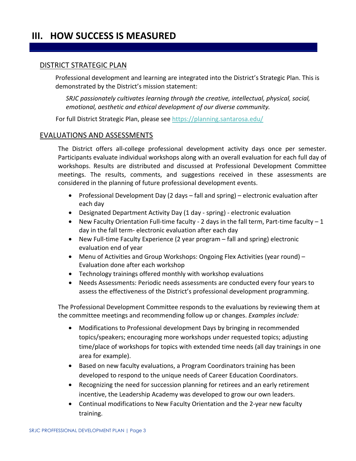# **III. HOW SUCCESS IS MEASURED**

#### DISTRICT STRATEGIC PLAN

Professional development and learning are integrated into the District's Strategic Plan. This is demonstrated by the District's mission statement:

*SRJC passionately cultivates learning through the creative, intellectual, physical, social, emotional, aesthetic and ethical development of our diverse community.* 

For full District Strategic Plan, please see<https://planning.santarosa.edu/>

#### EVALUATIONS AND ASSESSMENTS

The District offers all-college professional development activity days once per semester. Participants evaluate individual workshops along with an overall evaluation for each full day of workshops. Results are distributed and discussed at Professional Development Committee meetings. The results, comments, and suggestions received in these assessments are considered in the planning of future professional development events.

- Professional Development Day (2 days fall and spring) electronic evaluation after each day
- Designated Department Activity Day (1 day spring) electronic evaluation
- New Faculty Orientation Full-time faculty 2 days in the fall term, Part-time faculty  $-1$ day in the fall term- electronic evaluation after each day
- New Full-time Faculty Experience (2 year program fall and spring) electronic evaluation end of year
- Menu of Activities and Group Workshops: Ongoing Flex Activities (year round) Evaluation done after each workshop
- Technology trainings offered monthly with workshop evaluations
- Needs Assessments: Periodic needs assessments are conducted every four years to assess the effectiveness of the District's professional development programming.

The Professional Development Committee responds to the evaluations by reviewing them at the committee meetings and recommending follow up or changes. *Examples include:* 

- Modifications to Professional development Days by bringing in recommended topics/speakers; encouraging more workshops under requested topics; adjusting time/place of workshops for topics with extended time needs (all day trainings in one area for example).
- Based on new faculty evaluations, a Program Coordinators training has been developed to respond to the unique needs of Career Education Coordinators.
- Recognizing the need for succession planning for retirees and an early retirement incentive, the Leadership Academy was developed to grow our own leaders.
- Continual modifications to New Faculty Orientation and the 2-year new faculty training.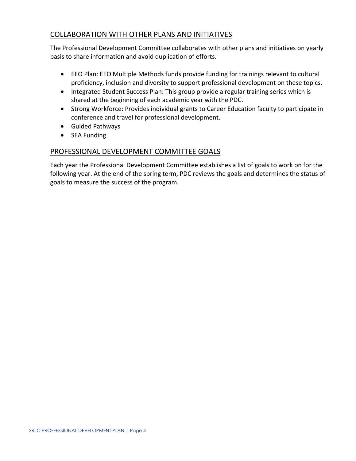# COLLABORATION WITH OTHER PLANS AND INITIATIVES

The Professional Development Committee collaborates with other plans and initiatives on yearly basis to share information and avoid duplication of efforts.

- EEO Plan: EEO Multiple Methods funds provide funding for trainings relevant to cultural proficiency, inclusion and diversity to support professional development on these topics.
- Integrated Student Success Plan: This group provide a regular training series which is shared at the beginning of each academic year with the PDC.
- Strong Workforce: Provides individual grants to Career Education faculty to participate in conference and travel for professional development.
- Guided Pathways
- SEA Funding

## PROFESSIONAL DEVELOPMENT COMMITTEE GOALS

Each year the Professional Development Committee establishes a list of goals to work on for the following year. At the end of the spring term, PDC reviews the goals and determines the status of goals to measure the success of the program.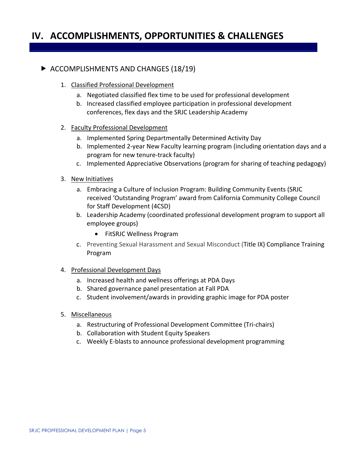# **IV. ACCOMPLISHMENTS, OPPORTUNITIES & CHALLENGES**

# ACCOMPLISHMENTS AND CHANGES (18/19)

- 1. Classified Professional Development
	- a. Negotiated classified flex time to be used for professional development
	- b. Increased classified employee participation in professional development conferences, flex days and the SRJC Leadership Academy

#### 2. Faculty Professional Development

- a. Implemented Spring Departmentally Determined Activity Day
- b. Implemented 2-year New Faculty learning program (including orientation days and a program for new tenure-track faculty)
- c. Implemented Appreciative Observations (program for sharing of teaching pedagogy)
- 3. New Initiatives
	- a. Embracing a Culture of Inclusion Program: Building Community Events (SRJC received 'Outstanding Program' award from California Community College Council for Staff Development (4CSD)
	- b. Leadership Academy (coordinated professional development program to support all employee groups)
		- FitSRJC Wellness Program
	- c. Preventing Sexual Harassment and Sexual Misconduct (Title IX) Compliance Training Program

#### 4. Professional Development Days

- a. Increased health and wellness offerings at PDA Days
- b. Shared governance panel presentation at Fall PDA
- c. Student involvement/awards in providing graphic image for PDA poster
- 5. Miscellaneous
	- a. Restructuring of Professional Development Committee (Tri-chairs)
	- b. Collaboration with Student Equity Speakers
	- c. Weekly E-blasts to announce professional development programming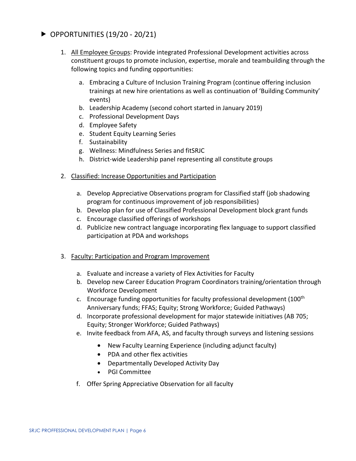# $\triangleright$  OPPORTUNITIES (19/20 - 20/21)

- 1. All Employee Groups: Provide integrated Professional Development activities across constituent groups to promote inclusion, expertise, morale and teambuilding through the following topics and funding opportunities:
	- a. Embracing a Culture of Inclusion Training Program (continue offering inclusion trainings at new hire orientations as well as continuation of 'Building Community' events)
	- b. Leadership Academy (second cohort started in January 2019)
	- c. Professional Development Days
	- d. Employee Safety
	- e. Student Equity Learning Series
	- f. Sustainability
	- g. Wellness: Mindfulness Series and fitSRJC
	- h. District-wide Leadership panel representing all constitute groups
- 2. Classified: Increase Opportunities and Participation
	- a. Develop Appreciative Observations program for Classified staff (job shadowing program for continuous improvement of job responsibilities)
	- b. Develop plan for use of Classified Professional Development block grant funds
	- c. Encourage classified offerings of workshops
	- d. Publicize new contract language incorporating flex language to support classified participation at PDA and workshops
- 3. Faculty: Participation and Program Improvement
	- a. Evaluate and increase a variety of Flex Activities for Faculty
	- b. Develop new Career Education Program Coordinators training/orientation through Workforce Development
	- c. Encourage funding opportunities for faculty professional development (100th Anniversary funds; FFAS; Equity; Strong Workforce; Guided Pathways)
	- d. Incorporate professional development for major statewide initiatives (AB 705; Equity; Stronger Workforce; Guided Pathways)
	- e. Invite feedback from AFA, AS, and faculty through surveys and listening sessions
		- New Faculty Learning Experience (including adjunct faculty)
		- PDA and other flex activities
		- Departmentally Developed Activity Day
		- PGI Committee
	- f. Offer Spring Appreciative Observation for all faculty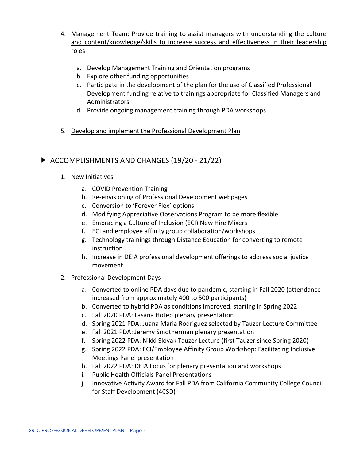- 4. Management Team: Provide training to assist managers with understanding the culture and content/knowledge/skills to increase success and effectiveness in their leadership roles
	- a. Develop Management Training and Orientation programs
	- b. Explore other funding opportunities
	- c. Participate in the development of the plan for the use of Classified Professional Development funding relative to trainings appropriate for Classified Managers and Administrators
	- d. Provide ongoing management training through PDA workshops
- 5. Develop and implement the Professional Development Plan

# ▶ ACCOMPLISHMENTS AND CHANGES (19/20 - 21/22)

## 1. New Initiatives

- a. COVID Prevention Training
- b. Re-envisioning of Professional Development webpages
- c. Conversion to 'Forever Flex' options
- d. Modifying Appreciative Observations Program to be more flexible
- e. Embracing a Culture of Inclusion (ECI) New Hire Mixers
- f. ECI and employee affinity group collaboration/workshops
- g. Technology trainings through Distance Education for converting to remote instruction
- h. Increase in DEIA professional development offerings to address social justice movement

## 2. Professional Development Days

- a. Converted to online PDA days due to pandemic, starting in Fall 2020 (attendance increased from approximately 400 to 500 participants)
- b. Converted to hybrid PDA as conditions improved, starting in Spring 2022
- c. Fall 2020 PDA: Lasana Hotep plenary presentation
- d. Spring 2021 PDA: Juana Maria Rodriguez selected by Tauzer Lecture Committee
- e. Fall 2021 PDA: Jeremy Smotherman plenary presentation
- f. Spring 2022 PDA: Nikki Slovak Tauzer Lecture (first Tauzer since Spring 2020)
- g. Spring 2022 PDA: ECI/Employee Affinity Group Workshop: Facilitating Inclusive Meetings Panel presentation
- h. Fall 2022 PDA: DEIA Focus for plenary presentation and workshops
- i. Public Health Officials Panel Presentations
- j. Innovative Activity Award for Fall PDA from California Community College Council for Staff Development (4CSD)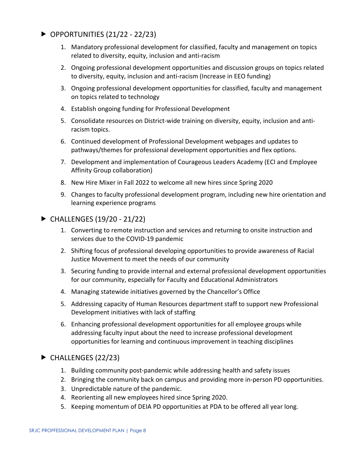- $\triangleright$  OPPORTUNITIES (21/22 22/23)
	- 1. Mandatory professional development for classified, faculty and management on topics related to diversity, equity, inclusion and anti-racism
	- 2. Ongoing professional development opportunities and discussion groups on topics related to diversity, equity, inclusion and anti-racism (Increase in EEO funding)
	- 3. Ongoing professional development opportunities for classified, faculty and management on topics related to technology
	- 4. Establish ongoing funding for Professional Development
	- 5. Consolidate resources on District-wide training on diversity, equity, inclusion and antiracism topics.
	- 6. Continued development of Professional Development webpages and updates to pathways/themes for professional development opportunities and flex options.
	- 7. Development and implementation of Courageous Leaders Academy (ECI and Employee Affinity Group collaboration)
	- 8. New Hire Mixer in Fall 2022 to welcome all new hires since Spring 2020
	- 9. Changes to faculty professional development program, including new hire orientation and learning experience programs
- $\triangleright$  CHALLENGES (19/20 21/22)
	- 1. Converting to remote instruction and services and returning to onsite instruction and services due to the COVID-19 pandemic
	- 2. Shifting focus of professional developing opportunities to provide awareness of Racial Justice Movement to meet the needs of our community
	- 3. Securing funding to provide internal and external professional development opportunities for our community, especially for Faculty and Educational Administrators
	- 4. Managing statewide initiatives governed by the Chancellor's Office
	- 5. Addressing capacity of Human Resources department staff to support new Professional Development initiatives with lack of staffing
	- 6. Enhancing professional development opportunities for all employee groups while addressing faculty input about the need to increase professional development opportunities for learning and continuous improvement in teaching disciplines

# $\blacktriangleright$  CHALLENGES (22/23)

- 1. Building community post-pandemic while addressing health and safety issues
- 2. Bringing the community back on campus and providing more in-person PD opportunities.
- 3. Unpredictable nature of the pandemic.
- 4. Reorienting all new employees hired since Spring 2020.
- 5. Keeping momentum of DEIA PD opportunities at PDA to be offered all year long.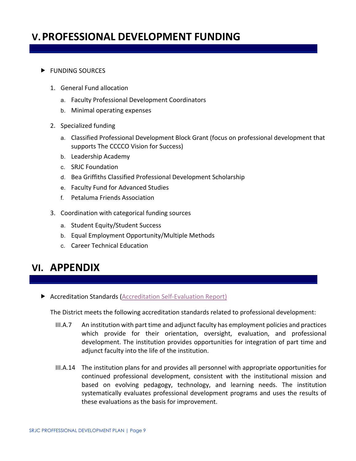# **V.PROFESSIONAL DEVELOPMENT FUNDING**

#### **FUNDING SOURCES**

- 1. General Fund allocation
	- a. Faculty Professional Development Coordinators
	- b. Minimal operating expenses
- 2. Specialized funding
	- a. Classified Professional Development Block Grant (focus on professional development that supports The CCCCO Vision for Success)
	- b. Leadership Academy
	- c. SRJC Foundation
	- d. Bea Griffiths Classified Professional Development Scholarship
	- e. Faculty Fund for Advanced Studies
	- f. Petaluma Friends Association
- 3. Coordination with categorical funding sources
	- a. Student Equity/Student Success
	- b. Equal Employment Opportunity/Multiple Methods
	- c. Career Technical Education

# **VI. APPENDIX**

Accreditation Standards [\(Accreditation Self-Evaluation Report\)](https://accreditation.santarosa.edu/accreditation-2022)

The District meets the following accreditation standards related to professional development:

- III.A.7 An institution with part time and adjunct faculty has employment policies and practices which provide for their orientation, oversight, evaluation, and professional development. The institution provides opportunities for integration of part time and adjunct faculty into the life of the institution.
- III.A.14 The institution plans for and provides all personnel with appropriate opportunities for continued professional development, consistent with the institutional mission and based on evolving pedagogy, technology, and learning needs. The institution systematically evaluates professional development programs and uses the results of these evaluations as the basis for improvement.